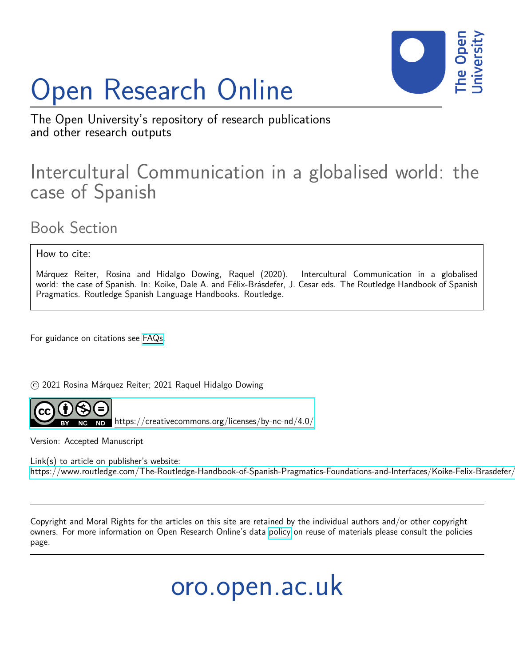# Open Research Online



The Open University's repository of research publications and other research outputs

## Intercultural Communication in a globalised world: the case of Spanish

### Book Section

How to cite:

Márquez Reiter, Rosina and Hidalgo Dowing, Raquel (2020). Intercultural Communication in a globalised world: the case of Spanish. In: Koike, Dale A. and Félix-Brásdefer, J. Cesar eds. The Routledge Handbook of Spanish Pragmatics. Routledge Spanish Language Handbooks. Routledge.

For guidance on citations see [FAQs.](http://oro.open.ac.uk/help/helpfaq.html)

c 2021 Rosina Márquez Reiter; 2021 Raquel Hidalgo Dowing



<https://creativecommons.org/licenses/by-nc-nd/4.0/>

Version: Accepted Manuscript

Link(s) to article on publisher's website: https://www.routledge.com/The-Routledge-Handbook-of-Spanish-Pragmatics-Foundations-and-Interfaces/Koike-Felix-Brasdefer,

Copyright and Moral Rights for the articles on this site are retained by the individual authors and/or other copyright owners. For more information on Open Research Online's data [policy](http://oro.open.ac.uk/policies.html) on reuse of materials please consult the policies page.

oro.open.ac.uk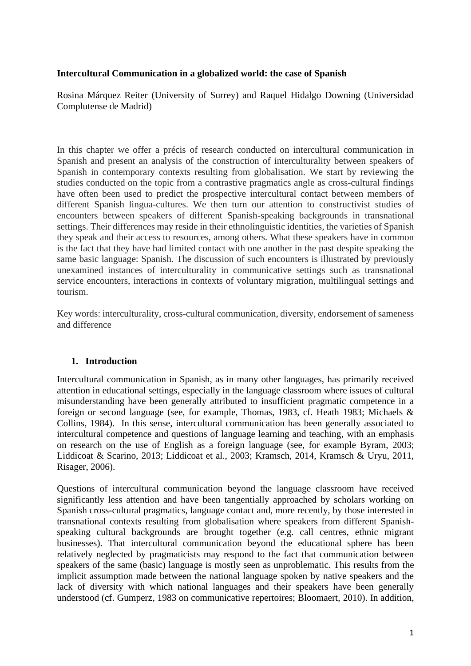#### **Intercultural Communication in a globalized world: the case of Spanish**

Rosina Márquez Reiter (University of Surrey) and Raquel Hidalgo Downing (Universidad Complutense de Madrid)

In this chapter we offer a précis of research conducted on intercultural communication in Spanish and present an analysis of the construction of interculturality between speakers of Spanish in contemporary contexts resulting from globalisation. We start by reviewing the studies conducted on the topic from a contrastive pragmatics angle as cross-cultural findings have often been used to predict the prospective intercultural contact between members of different Spanish lingua-cultures. We then turn our attention to constructivist studies of encounters between speakers of different Spanish-speaking backgrounds in transnational settings. Their differences may reside in their ethnolinguistic identities, the varieties of Spanish they speak and their access to resources, among others. What these speakers have in common is the fact that they have had limited contact with one another in the past despite speaking the same basic language: Spanish. The discussion of such encounters is illustrated by previously unexamined instances of interculturality in communicative settings such as transnational service encounters, interactions in contexts of voluntary migration, multilingual settings and tourism.

Key words: interculturality, cross-cultural communication, diversity, endorsement of sameness and difference

#### **1. Introduction**

Intercultural communication in Spanish, as in many other languages, has primarily received attention in educational settings, especially in the language classroom where issues of cultural misunderstanding have been generally attributed to insufficient pragmatic competence in a foreign or second language (see, for example, Thomas, 1983, cf. Heath 1983; Michaels & Collins, 1984). In this sense, intercultural communication has been generally associated to intercultural competence and questions of language learning and teaching, with an emphasis on research on the use of English as a foreign language (see, for example Byram, 2003; Liddicoat & Scarino, 2013; Liddicoat et al., 2003; Kramsch, 2014, Kramsch & Uryu, 2011, Risager, 2006).

Questions of intercultural communication beyond the language classroom have received significantly less attention and have been tangentially approached by scholars working on Spanish cross-cultural pragmatics, language contact and, more recently, by those interested in transnational contexts resulting from globalisation where speakers from different Spanishspeaking cultural backgrounds are brought together (e.g. call centres, ethnic migrant businesses). That intercultural communication beyond the educational sphere has been relatively neglected by pragmaticists may respond to the fact that communication between speakers of the same (basic) language is mostly seen as unproblematic. This results from the implicit assumption made between the national language spoken by native speakers and the lack of diversity with which national languages and their speakers have been generally understood (cf. Gumperz, 1983 on communicative repertoires; Bloomaert, 2010). In addition,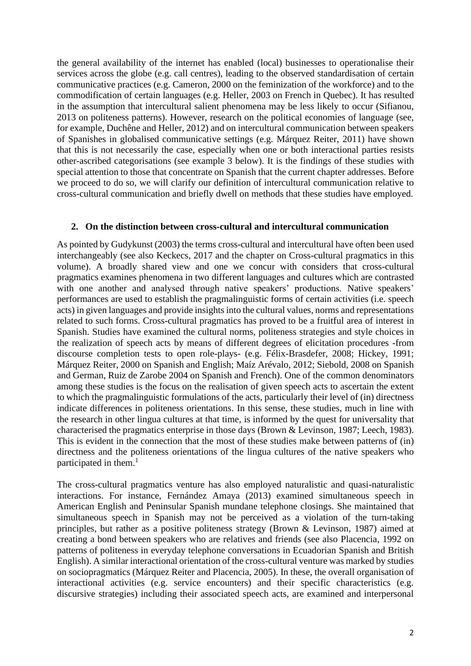the general availability of the internet has enabled (local) businesses to operationalise their services across the globe (e.g. call centres), leading to the observed standardisation of certain communicative practices (e.g. Cameron, 2000 on the feminization of the workforce) and to the commodification of certain languages (e.g. Heller, 2003 on French in Quebec). It has resulted in the assumption that intercultural salient phenomena may be less likely to occur (Sifianou, 2013 on politeness patterns). However, research on the political economies of language (see, for example, Duchêne and Heller, 2012) and on intercultural communication between speakers of Spanishes in globalised communicative settings (e.g. Márquez Reiter, 2011) have shown that this is not necessarily the case, especially when one or both interactional parties resists other-ascribed categorisations (see example 3 below). It is the findings of these studies with special attention to those that concentrate on Spanish that the current chapter addresses. Before we proceed to do so, we will clarify our definition of intercultural communication relative to cross-cultural communication and briefly dwell on methods that these studies have employed.

#### **2. On the distinction between cross-cultural and intercultural communication**

As pointed by Gudykunst (2003) the terms cross-cultural and intercultural have often been used interchangeably (see also Keckecs, 2017 and the chapter on Cross-cultural pragmatics in this volume). A broadly shared view and one we concur with considers that cross-cultural pragmatics examines phenomena in two different languages and cultures which are contrasted with one another and analysed through native speakers' productions. Native speakers' performances are used to establish the pragmalinguistic forms of certain activities (i.e. speech acts) in given languages and provide insights into the cultural values, norms and representations related to such forms. Cross-cultural pragmatics has proved to be a fruitful area of interest in Spanish. Studies have examined the cultural norms, politeness strategies and style choices in the realization of speech acts by means of different degrees of elicitation procedures -from discourse completion tests to open role-plays- (e.g. Félix-Brasdefer, 2008; Hickey, 1991; Márquez Reiter, 2000 on Spanish and English; Maíz Arévalo, 2012; Siebold, 2008 on Spanish and German, Ruiz de Zarobe 2004 on Spanish and French). One of the common denominators among these studies is the focus on the realisation of given speech acts to ascertain the extent to which the pragmalinguistic formulations of the acts, particularly their level of (in) directness indicate differences in politeness orientations. In this sense, these studies, much in line with the research in other lingua cultures at that time, is informed by the quest for universality that characterised the pragmatics enterprise in those days (Brown & Levinson, 1987; Leech, 1983). This is evident in the connection that the most of these studies make between patterns of (in) directness and the politeness orientations of the lingua cultures of the native speakers who participated in them. 1

The cross-cultural pragmatics venture has also employed naturalistic and quasi-naturalistic interactions. For instance, Fernández Amaya (2013) examined simultaneous speech in American English and Peninsular Spanish mundane telephone closings. She maintained that simultaneous speech in Spanish may not be perceived as a violation of the turn-taking principles, but rather as a positive politeness strategy (Brown & Levinson, 1987) aimed at creating a bond between speakers who are relatives and friends (see also Placencia, 1992 on patterns of politeness in everyday telephone conversations in Ecuadorian Spanish and British English). A similar interactional orientation of the cross-cultural venture was marked by studies on sociopragmatics (Márquez Reiter and Placencia, 2005). In these, the overall organisation of interactional activities (e.g. service encounters) and their specific characteristics (e.g. discursive strategies) including their associated speech acts, are examined and interpersonal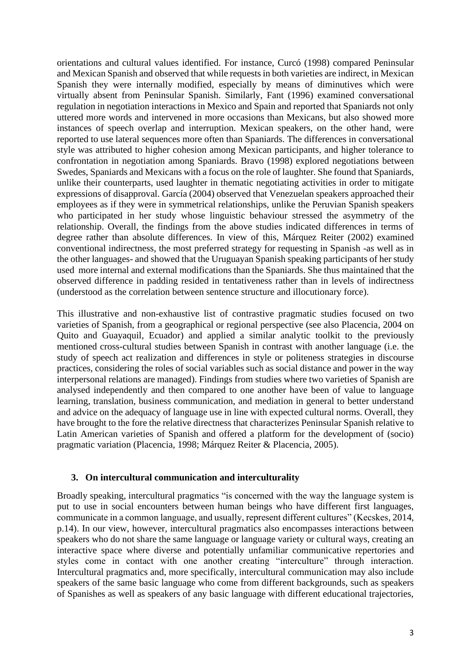orientations and cultural values identified. For instance, Curcó (1998) compared Peninsular and Mexican Spanish and observed that while requests in both varieties are indirect, in Mexican Spanish they were internally modified, especially by means of diminutives which were virtually absent from Peninsular Spanish. Similarly, Fant (1996) examined conversational regulation in negotiation interactions in Mexico and Spain and reported that Spaniards not only uttered more words and intervened in more occasions than Mexicans, but also showed more instances of speech overlap and interruption. Mexican speakers, on the other hand, were reported to use lateral sequences more often than Spaniards. The differences in conversational style was attributed to higher cohesion among Mexican participants, and higher tolerance to confrontation in negotiation among Spaniards. Bravo (1998) explored negotiations between Swedes, Spaniards and Mexicans with a focus on the role of laughter. She found that Spaniards, unlike their counterparts, used laughter in thematic negotiating activities in order to mitigate expressions of disapproval. García (2004) observed that Venezuelan speakers approached their employees as if they were in symmetrical relationships, unlike the Peruvian Spanish speakers who participated in her study whose linguistic behaviour stressed the asymmetry of the relationship. Overall, the findings from the above studies indicated differences in terms of degree rather than absolute differences. In view of this, Márquez Reiter (2002) examined conventional indirectness, the most preferred strategy for requesting in Spanish -as well as in the other languages- and showed that the Uruguayan Spanish speaking participants of her study used more internal and external modifications than the Spaniards. She thus maintained that the observed difference in padding resided in tentativeness rather than in levels of indirectness (understood as the correlation between sentence structure and illocutionary force).

This illustrative and non-exhaustive list of contrastive pragmatic studies focused on two varieties of Spanish, from a geographical or regional perspective (see also Placencia, 2004 on Quito and Guayaquil, Ecuador) and applied a similar analytic toolkit to the previously mentioned cross-cultural studies between Spanish in contrast with another language (i.e. the study of speech act realization and differences in style or politeness strategies in discourse practices, considering the roles of social variables such as social distance and power in the way interpersonal relations are managed). Findings from studies where two varieties of Spanish are analysed independently and then compared to one another have been of value to language learning, translation, business communication, and mediation in general to better understand and advice on the adequacy of language use in line with expected cultural norms. Overall, they have brought to the fore the relative directness that characterizes Peninsular Spanish relative to Latin American varieties of Spanish and offered a platform for the development of (socio) pragmatic variation (Placencia, 1998; Márquez Reiter & Placencia, 2005).

#### **3. On intercultural communication and interculturality**

Broadly speaking, intercultural pragmatics "is concerned with the way the language system is put to use in social encounters between human beings who have different first languages, communicate in a common language, and usually, represent different cultures" (Kecskes, 2014, p.14). In our view, however, intercultural pragmatics also encompasses interactions between speakers who do not share the same language or language variety or cultural ways, creating an interactive space where diverse and potentially unfamiliar communicative repertories and styles come in contact with one another creating "interculture" through interaction. Intercultural pragmatics and, more specifically, intercultural communication may also include speakers of the same basic language who come from different backgrounds, such as speakers of Spanishes as well as speakers of any basic language with different educational trajectories,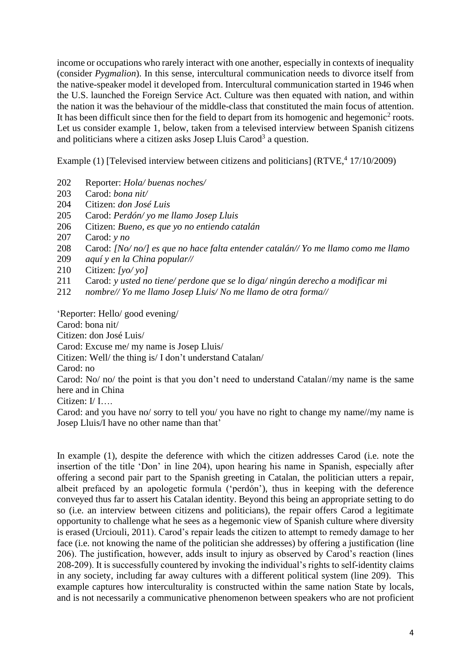income or occupations who rarely interact with one another, especially in contexts of inequality (consider *Pygmalion*). In this sense, intercultural communication needs to divorce itself from the native-speaker model it developed from. Intercultural communication started in 1946 when the U.S. launched the Foreign Service Act. Culture was then equated with nation, and within the nation it was the behaviour of the middle-class that constituted the main focus of attention. It has been difficult since then for the field to depart from its homogenic and hegemonic<sup>2</sup> roots. Let us consider example 1, below, taken from a televised interview between Spanish citizens and politicians where a citizen asks Josep Lluis Carod<sup>3</sup> a question.

Example (1) [Televised interview between citizens and politicians] (RTVE,<sup>4</sup> 17/10/2009)

- 202 Reporter: *Hola/ buenas noches/*
- 203 Carod: *bona nit/*
- 204 Citizen: *don José Luis*
- 205 Carod: *Perdón/ yo me llamo Josep Lluis*
- 206 Citizen: *Bueno, es que yo no entiendo catalán*
- 207 Carod: *y no*
- 208 Carod: *[No/ no/] es que no hace falta entender catalán// Yo me llamo como me llamo*
- 209 *aquí y en la China popular//*
- 210 Citizen: *[yo/ yo]*
- 211 Carod: *y usted no tiene/ perdone que se lo diga/ ningún derecho a modificar mi*
- 212 *nombre// Yo me llamo Josep Lluis/ No me llamo de otra forma//*

'Reporter: Hello/ good evening/

Carod: bona nit/

Citizen: don José Luis/

Carod: Excuse me/ my name is Josep Lluis/

Citizen: Well/ the thing is/ I don't understand Catalan/

Carod: no

Carod: No/ no/ the point is that you don't need to understand Catalan//my name is the same here and in China

Citizen: I/ I….

Carod: and you have no/ sorry to tell you/ you have no right to change my name//my name is Josep Lluis/I have no other name than that'

In example (1), despite the deference with which the citizen addresses Carod (i.e. note the insertion of the title 'Don' in line 204), upon hearing his name in Spanish, especially after offering a second pair part to the Spanish greeting in Catalan, the politician utters a repair, albeit prefaced by an apologetic formula ('perdón'), thus in keeping with the deference conveyed thus far to assert his Catalan identity. Beyond this being an appropriate setting to do so (i.e. an interview between citizens and politicians), the repair offers Carod a legitimate opportunity to challenge what he sees as a hegemonic view of Spanish culture where diversity is erased (Urciouli, 2011). Carod's repair leads the citizen to attempt to remedy damage to her face (i.e. not knowing the name of the politician she addresses) by offering a justification (line 206). The justification, however, adds insult to injury as observed by Carod's reaction (lines 208-209). It is successfully countered by invoking the individual's rights to self-identity claims in any society, including far away cultures with a different political system (line 209). This example captures how interculturality is constructed within the same nation State by locals, and is not necessarily a communicative phenomenon between speakers who are not proficient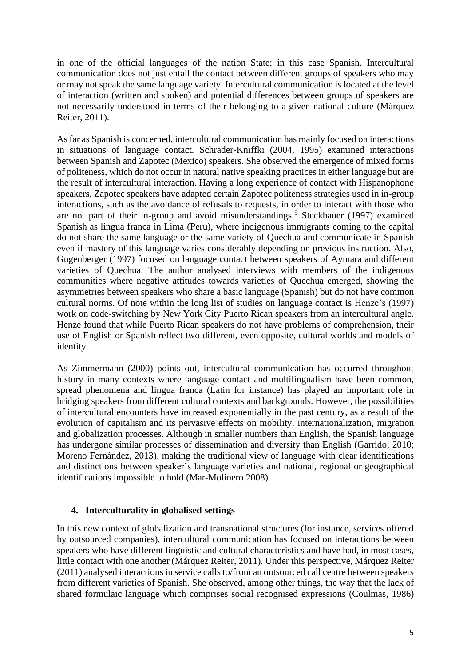in one of the official languages of the nation State: in this case Spanish. Intercultural communication does not just entail the contact between different groups of speakers who may or may not speak the same language variety. Intercultural communication is located at the level of interaction (written and spoken) and potential differences between groups of speakers are not necessarily understood in terms of their belonging to a given national culture (Márquez Reiter, 2011).

As far as Spanish is concerned, intercultural communication has mainly focused on interactions in situations of language contact. Schrader-Kniffki (2004, 1995) examined interactions between Spanish and Zapotec (Mexico) speakers. She observed the emergence of mixed forms of politeness, which do not occur in natural native speaking practices in either language but are the result of intercultural interaction. Having a long experience of contact with Hispanophone speakers, Zapotec speakers have adapted certain Zapotec politeness strategies used in in-group interactions, such as the avoidance of refusals to requests, in order to interact with those who are not part of their in-group and avoid misunderstandings.<sup>5</sup> Steckbauer (1997) examined Spanish as lingua franca in Lima (Peru), where indigenous immigrants coming to the capital do not share the same language or the same variety of Quechua and communicate in Spanish even if mastery of this language varies considerably depending on previous instruction. Also, Gugenberger (1997) focused on language contact between speakers of Aymara and different varieties of Quechua. The author analysed interviews with members of the indigenous communities where negative attitudes towards varieties of Quechua emerged, showing the asymmetries between speakers who share a basic language (Spanish) but do not have common cultural norms. Of note within the long list of studies on language contact is Henze's (1997) work on code-switching by New York City Puerto Rican speakers from an intercultural angle. Henze found that while Puerto Rican speakers do not have problems of comprehension, their use of English or Spanish reflect two different, even opposite, cultural worlds and models of identity.

As Zimmermann (2000) points out, intercultural communication has occurred throughout history in many contexts where language contact and multilingualism have been common, spread phenomena and lingua franca (Latin for instance) has played an important role in bridging speakers from different cultural contexts and backgrounds. However, the possibilities of intercultural encounters have increased exponentially in the past century, as a result of the evolution of capitalism and its pervasive effects on mobility, internationalization, migration and globalization processes. Although in smaller numbers than English, the Spanish language has undergone similar processes of dissemination and diversity than English (Garrido, 2010; Moreno Fernández, 2013), making the traditional view of language with clear identifications and distinctions between speaker's language varieties and national, regional or geographical identifications impossible to hold (Mar-Molinero 2008).

#### **4. Interculturality in globalised settings**

In this new context of globalization and transnational structures (for instance, services offered by outsourced companies), intercultural communication has focused on interactions between speakers who have different linguistic and cultural characteristics and have had, in most cases, little contact with one another (Márquez Reiter, 2011). Under this perspective, Márquez Reiter (2011) analysed interactions in service calls to/from an outsourced call centre between speakers from different varieties of Spanish. She observed, among other things, the way that the lack of shared formulaic language which comprises social recognised expressions (Coulmas, 1986)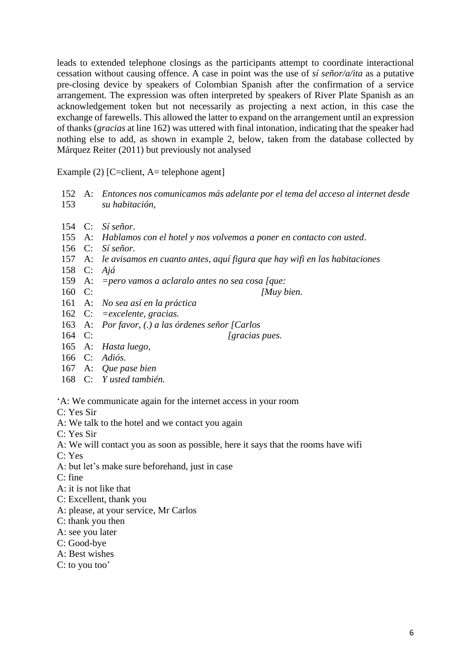leads to extended telephone closings as the participants attempt to coordinate interactional cessation without causing offence. A case in point was the use of *sí señor/a/ita* as a putative pre-closing device by speakers of Colombian Spanish after the confirmation of a service arrangement. The expression was often interpreted by speakers of River Plate Spanish as an acknowledgement token but not necessarily as projecting a next action, in this case the exchange of farewells. This allowed the latter to expand on the arrangement until an expression of thanks (*gracias* at line 162) was uttered with final intonation, indicating that the speaker had nothing else to add, as shown in example 2, below, taken from the database collected by Márquez Reiter (2011) but previously not analysed

Example (2) [C=client, A= telephone agent]

- 152 A: *Entonces nos comunicamos más adelante por el tema del acceso al internet desde*  153 *su habitación,*
- 154 C: *Sí señor*.
- 155 A: *Hablamos con el hotel y nos volvemos a poner en contacto con usted*.
- 156 C: *Sí señor.*
- 157 A: *le avisamos en cuanto antes, aquí figura que hay wifi en las habitaciones*
- 158 C: *Ajá*
- 159 A: *=pero vamos a aclaralo antes no sea cosa [que:*
- 160 C: *[Muy bien.*
- 161 A: *No sea así en la práctica*
- 162 C: *=excelente, gracias.*
- 163 A: *Por favor, (.) a las órdenes señor [Carlos*
- 164 C: *[gracias pues.*
- 165 A: *Hasta luego,*
- 166 C: *Adiós.*
- 167 A: *Que pase bien*
- 168 C: *Y usted también.*

'A: We communicate again for the internet access in your room

- C: Yes Sir
- A: We talk to the hotel and we contact you again
- C: Yes Sir
- A: We will contact you as soon as possible, here it says that the rooms have wifi
- C: Yes
- A: but let's make sure beforehand, just in case
- C: fine
- A: it is not like that
- C: Excellent, thank you
- A: please, at your service, Mr Carlos
- C: thank you then
- A: see you later
- C: Good-bye
- A: Best wishes
- C: to you too'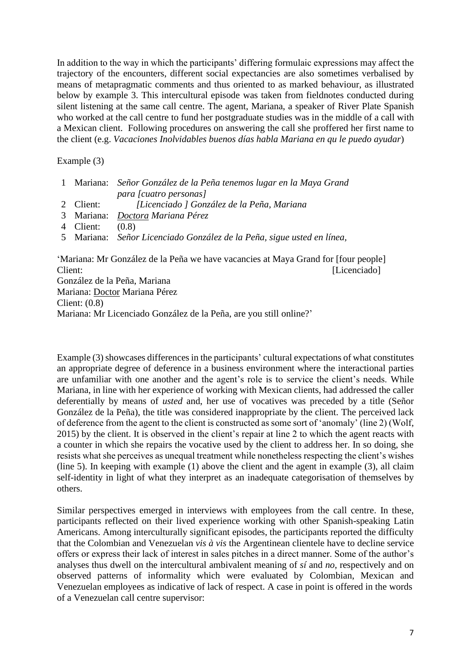In addition to the way in which the participants' differing formulaic expressions may affect the trajectory of the encounters, different social expectancies are also sometimes verbalised by means of metapragmatic comments and thus oriented to as marked behaviour, as illustrated below by example 3. This intercultural episode was taken from fieldnotes conducted during silent listening at the same call centre. The agent, Mariana, a speaker of River Plate Spanish who worked at the call centre to fund her postgraduate studies was in the middle of a call with a Mexican client. Following procedures on answering the call she proffered her first name to the client (e.g. *Vacaciones Inolvidables buenos días habla Mariana en qu le puedo ayudar*)

Example (3)

|           | 1 Mariana: Señor González de la Peña tenemos lugar en la Maya Grand |
|-----------|---------------------------------------------------------------------|
|           | para [cuatro personas]                                              |
| 2 Client: | [Licenciado ] González de la Peña, Mariana                          |
|           | 3 Mariana: <i>Doctora Mariana Pérez</i>                             |

4 Client: (0.8)

5 Mariana: *Señor Licenciado González de la Peña, sigue usted en línea,*

'Mariana: Mr González de la Peña we have vacancies at Maya Grand for [four people] Client: [Licenciado] González de la Peña, Mariana Mariana: Doctor Mariana Pérez Client: (0.8) Mariana: Mr Licenciado González de la Peña, are you still online?'

Example (3) showcases differences in the participants' cultural expectations of what constitutes an appropriate degree of deference in a business environment where the interactional parties are unfamiliar with one another and the agent's role is to service the client's needs. While Mariana, in line with her experience of working with Mexican clients, had addressed the caller deferentially by means of *usted* and, her use of vocatives was preceded by a title (Señor González de la Peña), the title was considered inappropriate by the client. The perceived lack of deference from the agent to the client is constructed as some sort of 'anomaly' (line 2) (Wolf, 2015) by the client. It is observed in the client's repair at line 2 to which the agent reacts with a counter in which she repairs the vocative used by the client to address her. In so doing, she resists what she perceives as unequal treatment while nonetheless respecting the client's wishes (line 5). In keeping with example (1) above the client and the agent in example (3), all claim self-identity in light of what they interpret as an inadequate categorisation of themselves by others.

Similar perspectives emerged in interviews with employees from the call centre. In these, participants reflected on their lived experience working with other Spanish-speaking Latin Americans. Among interculturally significant episodes, the participants reported the difficulty that the Colombian and Venezuelan *vis à vis* the Argentinean clientele have to decline service offers or express their lack of interest in sales pitches in a direct manner. Some of the author's analyses thus dwell on the intercultural ambivalent meaning of *sí* and *no*, respectively and on observed patterns of informality which were evaluated by Colombian, Mexican and Venezuelan employees as indicative of lack of respect. A case in point is offered in the words of a Venezuelan call centre supervisor: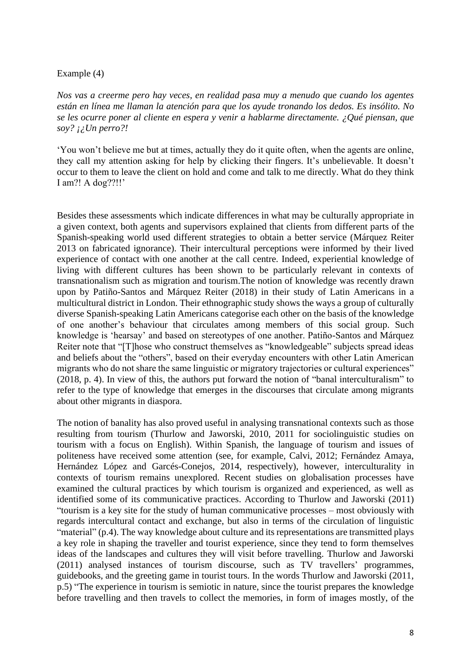#### Example (4)

*Nos vas a creerme pero hay veces, en realidad pasa muy a menudo que cuando los agentes están en línea me llaman la atención para que los ayude tronando los dedos. Es insólito. No se les ocurre poner al cliente en espera y venir a hablarme directamente. ¿Qué piensan, que soy? ¡¿Un perro?!*

'You won't believe me but at times, actually they do it quite often, when the agents are online, they call my attention asking for help by clicking their fingers. It's unbelievable. It doesn't occur to them to leave the client on hold and come and talk to me directly. What do they think I am?! A dog??!!'

Besides these assessments which indicate differences in what may be culturally appropriate in a given context, both agents and supervisors explained that clients from different parts of the Spanish-speaking world used different strategies to obtain a better service (Márquez Reiter 2013 on fabricated ignorance). Their intercultural perceptions were informed by their lived experience of contact with one another at the call centre. Indeed, experiential knowledge of living with different cultures has been shown to be particularly relevant in contexts of transnationalism such as migration and tourism.The notion of knowledge was recently drawn upon by Patiño-Santos and Márquez Reiter (2018) in their study of Latin Americans in a multicultural district in London. Their ethnographic study shows the ways a group of culturally diverse Spanish-speaking Latin Americans categorise each other on the basis of the knowledge of one another's behaviour that circulates among members of this social group. Such knowledge is 'hearsay' and based on stereotypes of one another. Patiño-Santos and Márquez Reiter note that "[T]hose who construct themselves as "knowledgeable" subjects spread ideas and beliefs about the "others", based on their everyday encounters with other Latin American migrants who do not share the same linguistic or migratory trajectories or cultural experiences" (2018, p. 4). In view of this, the authors put forward the notion of "banal interculturalism" to refer to the type of knowledge that emerges in the discourses that circulate among migrants about other migrants in diaspora.

The notion of banality has also proved useful in analysing transnational contexts such as those resulting from tourism (Thurlow and Jaworski, 2010, 2011 for sociolinguistic studies on tourism with a focus on English). Within Spanish, the language of tourism and issues of politeness have received some attention (see, for example, Calvi, 2012; Fernández Amaya, Hernández López and Garcés-Conejos, 2014, respectively), however, interculturality in contexts of tourism remains unexplored. Recent studies on globalisation processes have examined the cultural practices by which tourism is organized and experienced, as well as identified some of its communicative practices. According to Thurlow and Jaworski (2011) "tourism is a key site for the study of human communicative processes – most obviously with regards intercultural contact and exchange, but also in terms of the circulation of linguistic "material" (p.4). The way knowledge about culture and its representations are transmitted plays a key role in shaping the traveller and tourist experience, since they tend to form themselves ideas of the landscapes and cultures they will visit before travelling. Thurlow and Jaworski (2011) analysed instances of tourism discourse, such as TV travellers' programmes, guidebooks, and the greeting game in tourist tours. In the words Thurlow and Jaworski (2011, p.5) "The experience in tourism is semiotic in nature, since the tourist prepares the knowledge before travelling and then travels to collect the memories, in form of images mostly, of the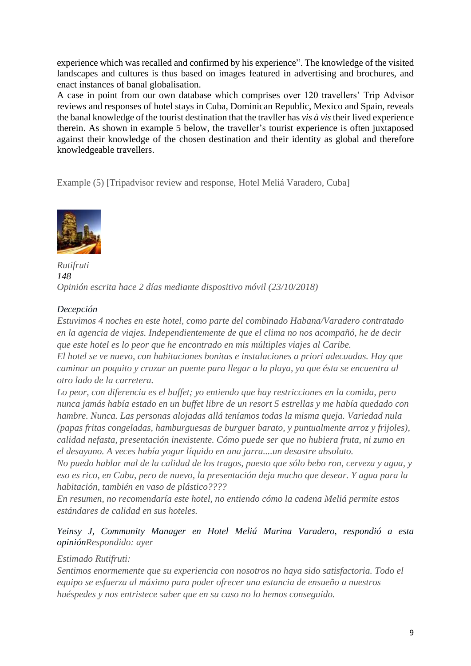experience which was recalled and confirmed by his experience". The knowledge of the visited landscapes and cultures is thus based on images featured in advertising and brochures, and enact instances of banal globalisation.

A case in point from our own database which comprises over 120 travellers' Trip Advisor reviews and responses of hotel stays in Cuba, Dominican Republic, Mexico and Spain, reveals the banal knowledge of the tourist destination that the travller has *vis à vis*their lived experience therein. As shown in example 5 below, the traveller's tourist experience is often juxtaposed against their knowledge of the chosen destination and their identity as global and therefore knowledgeable travellers.

Example (5) [Tripadvisor review and response, Hotel Meliá Varadero, Cuba]



*Rutifruti 148 Opinión escrita hace 2 días mediante dispositivo móvil (23/10/2018)*

#### *[Decepción](https://www.tripadvisor.es/ShowUserReviews-g147275-d4745875-r627048740-Hotel_Melia_Marina_Varadero-Varadero_Matanzas_Province_Cuba.html)*

*Estuvimos 4 noches en este hotel, como parte del combinado Habana/Varadero contratado en la agencia de viajes. Independientemente de que el clima no nos acompañó, he de decir que este hotel es lo peor que he encontrado en mis múltiples viajes al Caribe. El hotel se ve nuevo, con habitaciones bonitas e instalaciones a priori adecuadas. Hay que* 

*caminar un poquito y cruzar un puente para llegar a la playa, ya que ésta se encuentra al otro lado de la carretera.*

*Lo peor, con diferencia es el buffet; yo entiendo que hay restricciones en la comida, pero nunca jamás había estado en un buffet libre de un resort 5 estrellas y me había quedado con hambre. Nunca. Las personas alojadas allá teníamos todas la misma queja. Variedad nula (papas fritas congeladas, hamburguesas de burguer barato, y puntualmente arroz y frijoles), calidad nefasta, presentación inexistente. Cómo puede ser que no hubiera fruta, ni zumo en el desayuno. A veces había yogur líquido en una jarra....un desastre absoluto.* 

*No puedo hablar mal de la calidad de los tragos, puesto que sólo bebo ron, cerveza y agua, y eso es rico, en Cuba, pero de nuevo, la presentación deja mucho que desear. Y agua para la habitación, también en vaso de plástico????*

*En resumen, no recomendaría este hotel, no entiendo cómo la cadena Meliá permite estos estándares de calidad en sus hoteles.*

#### *Yeinsy J, Community Manager en Hotel Meliá Marina Varadero, respondió a esta opiniónRespondido: ayer*

#### *Estimado Rutifruti:*

*Sentimos enormemente que su experiencia con nosotros no haya sido satisfactoria. Todo el equipo se esfuerza al máximo para poder ofrecer una estancia de ensueño a nuestros huéspedes y nos entristece saber que en su caso no lo hemos conseguido.*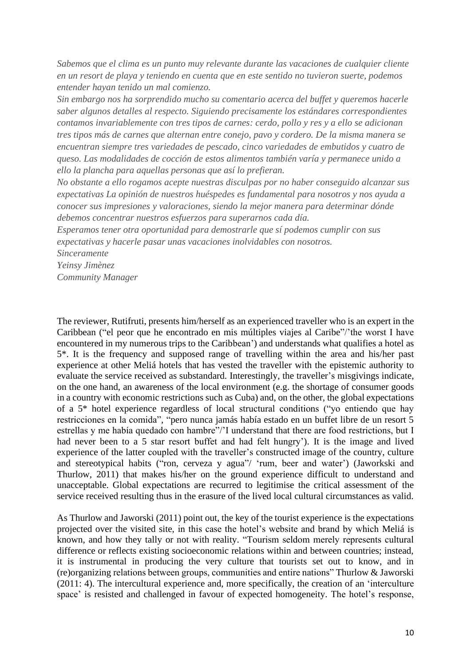*Sabemos que el clima es un punto muy relevante durante las vacaciones de cualquier cliente en un resort de playa y teniendo en cuenta que en este sentido no tuvieron suerte, podemos entender hayan tenido un mal comienzo.*

*Sin embargo nos ha sorprendido mucho su comentario acerca del buffet y queremos hacerle saber algunos detalles al respecto. Siguiendo precisamente los estándares correspondientes contamos invariablemente con tres tipos de carnes: cerdo, pollo y res y a ello se adicionan tres tipos más de carnes que alternan entre conejo, pavo y cordero. De la misma manera se encuentran siempre tres variedades de pescado, cinco variedades de embutidos y cuatro de queso. Las modalidades de cocción de estos alimentos también varía y permanece unido a ello la plancha para aquellas personas que así lo prefieran.*

*No obstante a ello rogamos acepte nuestras disculpas por no haber conseguido alcanzar sus expectativas La opinión de nuestros huéspedes es fundamental para nosotros y nos ayuda a conocer sus impresiones y valoraciones, siendo la mejor manera para determinar dónde debemos concentrar nuestros esfuerzos para superarnos cada día.*

*Esperamos tener otra oportunidad para demostrarle que sí podemos cumplir con sus expectativas y hacerle pasar unas vacaciones inolvidables con nosotros.*

*Sinceramente*

*Yeinsy Jimènez*

*Community Manager*

The reviewer, Rutifruti, presents him/herself as an experienced traveller who is an expert in the Caribbean ("el peor que he encontrado en mis múltiples viajes al Caribe"/'the worst I have encountered in my numerous trips to the Caribbean') and understands what qualifies a hotel as 5\*. It is the frequency and supposed range of travelling within the area and his/her past experience at other Meliá hotels that has vested the traveller with the epistemic authority to evaluate the service received as substandard. Interestingly, the traveller's misgivings indicate, on the one hand, an awareness of the local environment (e.g. the shortage of consumer goods in a country with economic restrictions such as Cuba) and, on the other, the global expectations of a 5\* hotel experience regardless of local structural conditions ("yo entiendo que hay restricciones en la comida", "pero nunca jamás había estado en un buffet libre de un resort 5 estrellas y me había quedado con hambre"/'I understand that there are food restrictions, but I had never been to a 5 star resort buffet and had felt hungry'). It is the image and lived experience of the latter coupled with the traveller's constructed image of the country, culture and stereotypical habits ("ron, cerveza y agua"/ 'rum, beer and water') (Jaworkski and Thurlow, 2011) that makes his/her on the ground experience difficult to understand and unacceptable. Global expectations are recurred to legitimise the critical assessment of the service received resulting thus in the erasure of the lived local cultural circumstances as valid.

As Thurlow and Jaworski (2011) point out, the key of the tourist experience is the expectations projected over the visited site, in this case the hotel's website and brand by which Meliá is known, and how they tally or not with reality. "Tourism seldom merely represents cultural difference or reflects existing socioeconomic relations within and between countries; instead, it is instrumental in producing the very culture that tourists set out to know, and in (re)organizing relations between groups, communities and entire nations" Thurlow & Jaworski (2011: 4). The intercultural experience and, more specifically, the creation of an 'interculture space' is resisted and challenged in favour of expected homogeneity. The hotel's response,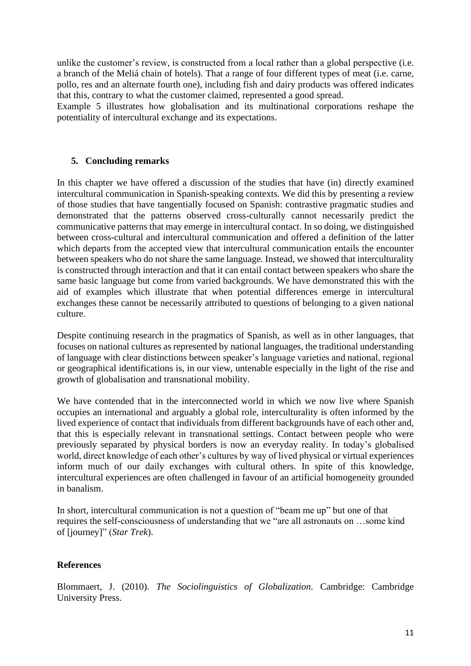unlike the customer's review, is constructed from a local rather than a global perspective (i.e. a branch of the Meliá chain of hotels). That a range of four different types of meat (i.e. carne, pollo, res and an alternate fourth one), including fish and dairy products was offered indicates that this, contrary to what the customer claimed, represented a good spread.

Example 5 illustrates how globalisation and its multinational corporations reshape the potentiality of intercultural exchange and its expectations.

#### **5. Concluding remarks**

In this chapter we have offered a discussion of the studies that have (in) directly examined intercultural communication in Spanish-speaking contexts. We did this by presenting a review of those studies that have tangentially focused on Spanish: contrastive pragmatic studies and demonstrated that the patterns observed cross-culturally cannot necessarily predict the communicative patterns that may emerge in intercultural contact. In so doing, we distinguished between cross-cultural and intercultural communication and offered a definition of the latter which departs from the accepted view that intercultural communication entails the encounter between speakers who do not share the same language. Instead, we showed that interculturality is constructed through interaction and that it can entail contact between speakers who share the same basic language but come from varied backgrounds. We have demonstrated this with the aid of examples which illustrate that when potential differences emerge in intercultural exchanges these cannot be necessarily attributed to questions of belonging to a given national culture.

Despite continuing research in the pragmatics of Spanish, as well as in other languages, that focuses on national cultures as represented by national languages, the traditional understanding of language with clear distinctions between speaker's language varieties and national, regional or geographical identifications is, in our view, untenable especially in the light of the rise and growth of globalisation and transnational mobility.

We have contended that in the interconnected world in which we now live where Spanish occupies an international and arguably a global role, interculturality is often informed by the lived experience of contact that individuals from different backgrounds have of each other and, that this is especially relevant in transnational settings. Contact between people who were previously separated by physical borders is now an everyday reality. In today's globalised world, direct knowledge of each other's cultures by way of lived physical or virtual experiences inform much of our daily exchanges with cultural others. In spite of this knowledge, intercultural experiences are often challenged in favour of an artificial homogeneity grounded in banalism.

In short, intercultural communication is not a question of "beam me up" but one of that requires the self-consciousness of understanding that we "are all astronauts on …some kind of [journey]" (*Star Trek*).

#### **References**

Blommaert, J. (2010). *The Sociolinguistics of Globalization.* Cambridge: Cambridge University Press.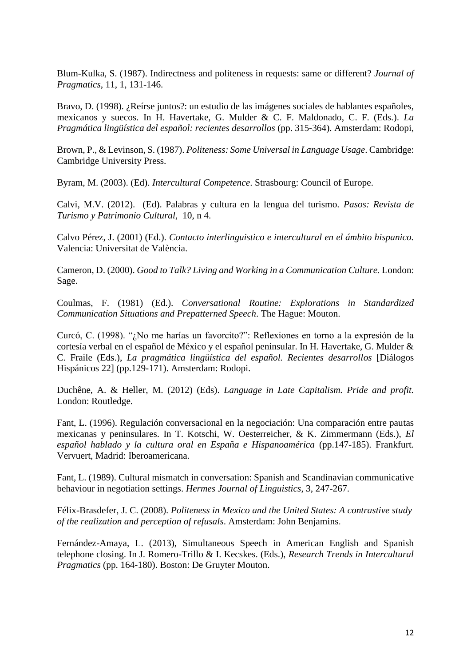Blum-Kulka, S. (1987). Indirectness and politeness in requests: same or different? *Journal of Pragmatics*, 11, 1, 131-146.

Bravo, D. (1998). ¿Reírse juntos?: un estudio de las imágenes sociales de hablantes españoles, mexicanos y suecos. In H. Havertake, G. Mulder & C. F. Maldonado, C. F. (Eds.). *La Pragmática lingüística del español: recientes desarrollos* (pp. 315-364). Amsterdam: Rodopi,

Brown, P., & Levinson, S. (1987). *Politeness: Some Universal in Language Usage*. Cambridge: Cambridge University Press.

Byram, M. (2003). (Ed). *Intercultural Competence*. Strasbourg: Council of Europe.

Calvi, M.V. (2012). (Ed). Palabras y cultura en la lengua del turismo. *Pasos: Revista de Turismo y Patrimonio Cultural*, 10, n 4.

Calvo Pérez, J. (2001) (Ed.). *Contacto interlinguistico e intercultural en el ámbito hispanico.* Valencia: Universitat de València.

Cameron, D. (2000). *Good to Talk? Living and Working in a Communication Culture.* London: Sage.

Coulmas, F. (1981) (Ed.). *Conversational Routine: Explorations in Standardized Communication Situations and Prepatterned Speech*. The Hague: Mouton.

Curcó, C. (1998). "¿No me harías un favorcito?": Reflexiones en torno a la expresión de la cortesía verbal en el español de México y el español peninsular. In H. Havertake, G. Mulder & C. Fraile (Eds.), *La pragmática lingüística del español. Recientes desarrollos* [Diálogos Hispánicos 22] (pp.129-171). Amsterdam: Rodopi.

Duchêne, A. & Heller, M. (2012) (Eds). *Language in Late Capitalism. Pride and profit.* London: Routledge.

Fant, L. (1996). Regulación conversacional en la negociación: Una comparación entre pautas mexicanas y peninsulares. In T. Kotschi, W. Oesterreicher, & K. Zimmermann (Eds.), *El español hablado y la cultura oral en España e Hispanoamérica* (pp.147-185). Frankfurt. Vervuert, Madrid: Iberoamericana.

Fant, L. (1989). Cultural mismatch in conversation: Spanish and Scandinavian communicative behaviour in negotiation settings. *Hermes Journal of Linguistics*, 3, 247-267.

Félix-Brasdefer, J. C. (2008). *Politeness in Mexico and the United States: A contrastive study of the realization and perception of refusals*. Amsterdam: John Benjamins.

Fernández-Amaya, L. (2013), Simultaneous Speech in American English and Spanish telephone closing. In J. Romero-Trillo & I. Kecskes. (Eds.), *Research Trends in Intercultural Pragmatics* (pp. 164-180). Boston: De Gruyter Mouton.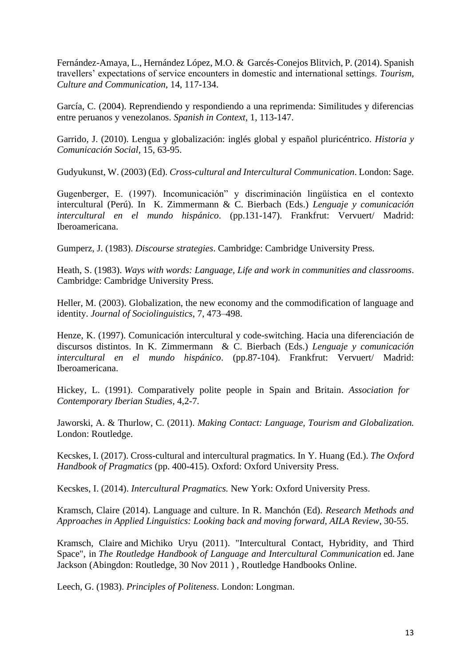Fernández-Amaya, L., Hernández López, M.O. & Garcés-Conejos Blitvich, P. (2014). Spanish travellers' expectations of service encounters in domestic and international settings. *Tourism, Culture and Communication*, 14, 117-134.

García, C. (2004). Reprendiendo y respondiendo a una reprimenda: Similitudes y diferencias entre peruanos y venezolanos. *Spanish in Context*, 1, 113-147.

Garrido, J. (2010). Lengua y globalización: inglés global y español pluricéntrico. *Historia y Comunicación Social,* 15, 63-95.

Gudyukunst, W. (2003) (Ed). *Cross-cultural and Intercultural Communication*. London: Sage.

Gugenberger, E. (1997). Incomunicación" y discriminación lingüística en el contexto intercultural (Perú). In K. Zimmermann & C. Bierbach (Eds.) *Lenguaje y comunicación intercultural en el mundo hispánico*. (pp.131-147). Frankfrut: Vervuert/ Madrid: Iberoamericana.

Gumperz, J. (1983). *Discourse strategies*. Cambridge: Cambridge University Press.

Heath, S. (1983). *Ways with words: Language, Life and work in communities and classrooms*. Cambridge: Cambridge University Press.

Heller, M. (2003). Globalization, the new economy and the commodification of language and identity. *Journal of Sociolinguistics*, 7, 473–498.

Henze, K. (1997). Comunicación intercultural y code-switching. Hacia una diferenciación de discursos distintos. In K. Zimmermann & C. Bierbach (Eds.) *Lenguaje y comunicación intercultural en el mundo hispánico*. (pp.87-104). Frankfrut: Vervuert/ Madrid: Iberoamericana.

Hickey, L. (1991). Comparatively polite people in Spain and Britain. *Association for Contemporary Iberian Studies,* 4,2-7.

Jaworski, A. & Thurlow, C. (2011). *Making Contact: Language, Tourism and Globalization.* London: Routledge.

Kecskes, I. (2017). Cross-cultural and intercultural pragmatics. In Y. Huang (Ed.). *The Oxford Handbook of Pragmatics* (pp. 400-415). Oxford: Oxford University Press.

Kecskes, I. (2014). *Intercultural Pragmatics.* New York: Oxford University Press.

Kramsch, Claire (2014). Language and culture. In R. Manchón (Ed). *Research Methods and [Approaches in Applied Linguistics: Looking back and moving forward](https://www.routledgehandbooks.com/author/Claire_Kramsch)*, *AILA Review*, 30-55.

[Kramsch,](https://www.routledgehandbooks.com/author/Claire_Kramsch) Claire and [Michiko](https://www.routledgehandbooks.com/author/Michiko_Uryu) Uryu (2011). ["Intercultural](https://www.routledgehandbooks.com/doi/10.4324/9780203805640.ch13) Contact, Hybridity, and Third [Space",](https://www.routledgehandbooks.com/doi/10.4324/9780203805640.ch13) in *The Routledge Handbook of Language and Intercultural [Communication](https://www.routledgehandbooks.com/doi/10.4324/9780203805640)* ed. [Jane](https://www.routledgehandbooks.com/author/Jane_Jackson) [Jackson](https://www.routledgehandbooks.com/author/Jane_Jackson) (Abingdon: Routledge, 30 Nov 2011 ) , Routledge Handbooks Online.

Leech, G. (1983). *Principles of Politeness*. London: Longman.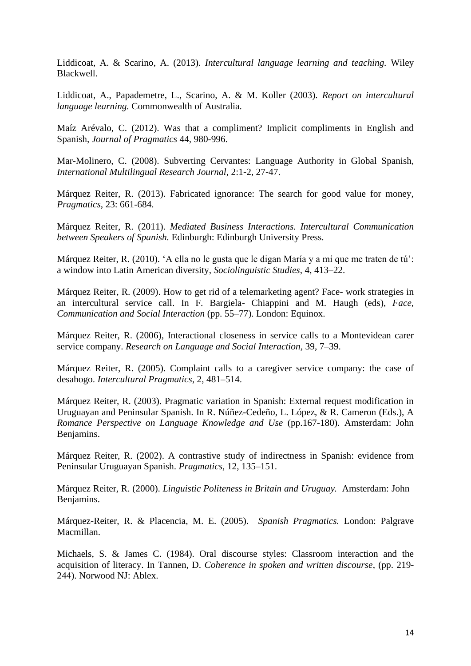Liddicoat, A. & Scarino, A. (2013). *Intercultural language learning and teaching.* Wiley Blackwell.

Liddicoat, A., Papademetre, L., Scarino, A. & M. Koller (2003). *Report on intercultural language learning.* Commonwealth of Australia.

Maíz Arévalo, C. (2012). Was that a compliment? Implicit compliments in English and Spanish, *Journal of Pragmatics* 44, 980-996.

Mar-Molinero, C. (2008). Subverting Cervantes: Language Authority in Global Spanish, *International Multilingual Research Journal*, 2:1-2, 27-47.

Márquez Reiter, R. (2013). Fabricated ignorance: The search for good value for money, *Pragmatics*, 23: 661-684.

Márquez Reiter, R. (2011). *Mediated Business Interactions. Intercultural Communication between Speakers of Spanish.* Edinburgh: Edinburgh University Press.

Márquez Reiter, R. (2010). 'A ella no le gusta que le digan María y a mí que me traten de tú': a window into Latin American diversity, *Sociolinguistic Studies*, 4, 413–22.

Márquez Reiter, R. (2009). How to get rid of a telemarketing agent? Face- work strategies in an intercultural service call. In F. Bargiela- Chiappini and M. Haugh (eds), *Face, Communication and Social Interaction* (pp. 55–77). London: Equinox.

Márquez Reiter, R. (2006), Interactional closeness in service calls to a Montevidean carer service company. *Research on Language and Social Interaction,* 39, 7–39.

Márquez Reiter, R. (2005). Complaint calls to a caregiver service company: the case of desahogo. *Intercultural Pragmatics*, 2, 481–514.

Márquez Reiter, R. (2003). Pragmatic variation in Spanish: External request modification in Uruguayan and Peninsular Spanish. In R. Núñez-Cedeño, L. López, & R. Cameron (Eds.), A *Romance Perspective on Language Knowledge and Use* (pp.167-180). Amsterdam: John Benjamins.

Márquez Reiter, R. (2002). A contrastive study of indirectness in Spanish: evidence from Peninsular Uruguayan Spanish. *Pragmatics*, 12, 135–151.

Márquez Reiter, R. (2000). *Linguistic Politeness in Britain and Uruguay.* Amsterdam: John Benjamins.

Márquez-Reiter, R. & Placencia, M. E. (2005). *Spanish Pragmatics.* London: Palgrave Macmillan.

Michaels, S. & James C. (1984). Oral discourse styles: Classroom interaction and the acquisition of literacy. In Tannen, D. *Coherence in spoken and written discourse*, (pp. 219- 244). Norwood NJ: Ablex.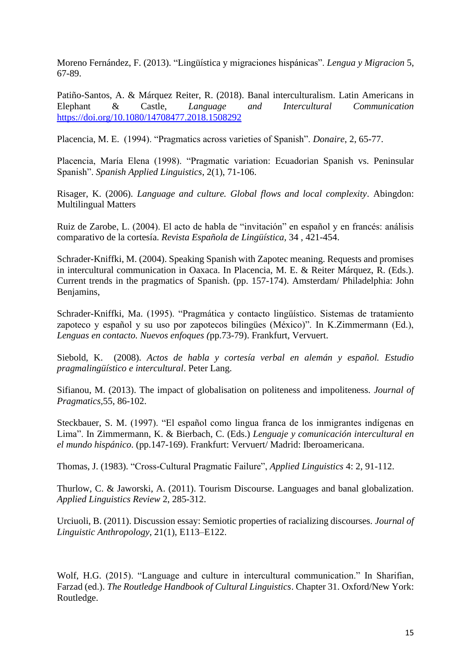Moreno Fernández, F. (2013). "Lingüística y migraciones hispánicas". *Lengua y Migracion* 5, 67-89.

Patiño-Santos, A. & Márquez Reiter, R. (2018). Banal interculturalism. Latin Americans in Elephant & Castle, *Language and Intercultural Communication* <https://doi.org/10.1080/14708477.2018.1508292>

Placencia, M. E. (1994). "Pragmatics across varieties of Spanish". *Donaire*, 2, 65-77.

Placencia, María Elena (1998). "Pragmatic variation: Ecuadorian Spanish vs. Peninsular Spanish". *Spanish Applied Linguistics*, 2(1), 71-106.

Risager, K. (2006). *Language and culture. Global flows and local complexity*. Abingdon: Multilingual Matters

Ruiz de Zarobe, L. (2004). El acto de habla de "invitación" en español y en francés: análisis comparativo de la cortesía. *Revista Española de Lingüística,* 34 , 421-454.

Schrader-Kniffki, M. (2004). Speaking Spanish with Zapotec meaning. Requests and promises in intercultural communication in Oaxaca. In Placencia, M. E. & Reiter Márquez, R. (Eds.). Current trends in the pragmatics of Spanish. (pp. 157-174). Amsterdam/ Philadelphia: John Benjamins,

Schrader-Kniffki, Ma. (1995). "Pragmática y contacto lingüístico. Sistemas de tratamiento zapoteco y español y su uso por zapotecos bilingües (México)". In K.Zimmermann (Ed.), *Lenguas en contacto. Nuevos enfoques (*pp.73-79). Frankfurt, Vervuert.

Siebold, K. (2008). *Actos de habla y cortesía verbal en alemán y español. Estudio pragmalingüístico e intercultural*. Peter Lang.

Sifianou, M. (2013). The impact of globalisation on politeness and impoliteness. *Journal of Pragmatics,*55, 86-102.

Steckbauer, S. M. (1997). "El español como lingua franca de los inmigrantes indígenas en Lima". In Zimmermann, K. & Bierbach, C. (Eds.) *Lenguaje y comunicación intercultural en el mundo hispánico*. (pp.147-169). Frankfurt: Vervuert/ Madrid: Iberoamericana.

Thomas, J. (1983). "Cross-Cultural Pragmatic Failure", *Applied Linguistics* 4: 2, 91-112.

Thurlow, C. & Jaworski, A. (2011). Tourism Discourse. Languages and banal globalization. *Applied Linguistics Review* 2, 285-312.

Urciuoli, B. (2011). Discussion essay: Semiotic properties of racializing discourses. *Journal of Linguistic Anthropology*, 21(1), E113–E122.

Wolf, H.G. (2015). "Language and culture in intercultural communication." In Sharifian, Farzad (ed.). *The Routledge Handbook of Cultural Linguistics*. Chapter 31. Oxford/New York: Routledge.